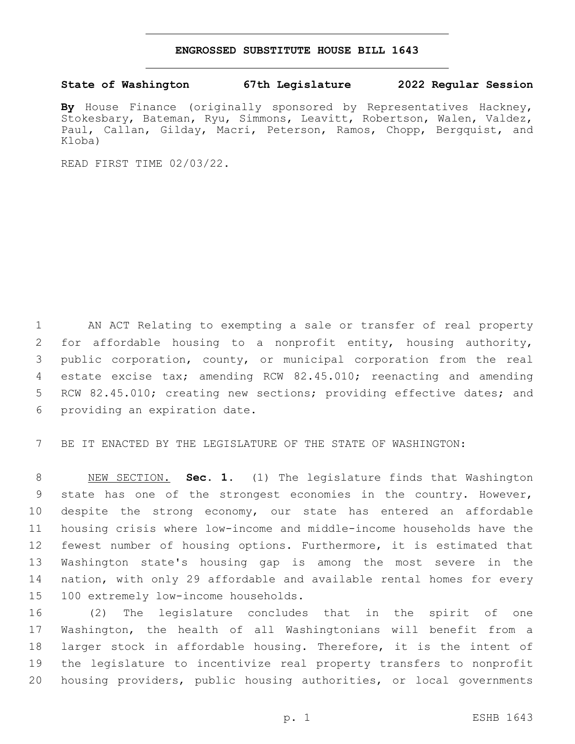## **ENGROSSED SUBSTITUTE HOUSE BILL 1643**

## **State of Washington 67th Legislature 2022 Regular Session**

**By** House Finance (originally sponsored by Representatives Hackney, Stokesbary, Bateman, Ryu, Simmons, Leavitt, Robertson, Walen, Valdez, Paul, Callan, Gilday, Macri, Peterson, Ramos, Chopp, Bergquist, and Kloba)

READ FIRST TIME 02/03/22.

 AN ACT Relating to exempting a sale or transfer of real property for affordable housing to a nonprofit entity, housing authority, public corporation, county, or municipal corporation from the real estate excise tax; amending RCW 82.45.010; reenacting and amending RCW 82.45.010; creating new sections; providing effective dates; and 6 providing an expiration date.

BE IT ENACTED BY THE LEGISLATURE OF THE STATE OF WASHINGTON:

 NEW SECTION. **Sec. 1.** (1) The legislature finds that Washington state has one of the strongest economies in the country. However, despite the strong economy, our state has entered an affordable housing crisis where low-income and middle-income households have the fewest number of housing options. Furthermore, it is estimated that Washington state's housing gap is among the most severe in the nation, with only 29 affordable and available rental homes for every 100 extremely low-income households.

 (2) The legislature concludes that in the spirit of one Washington, the health of all Washingtonians will benefit from a larger stock in affordable housing. Therefore, it is the intent of the legislature to incentivize real property transfers to nonprofit housing providers, public housing authorities, or local governments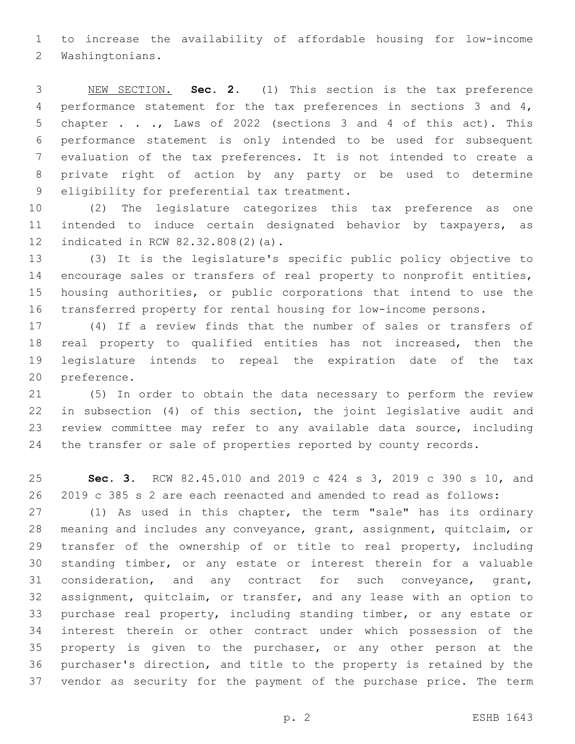to increase the availability of affordable housing for low-income 2 Washingtonians.

 NEW SECTION. **Sec. 2.** (1) This section is the tax preference performance statement for the tax preferences in sections 3 and 4, chapter . . ., Laws of 2022 (sections 3 and 4 of this act). This performance statement is only intended to be used for subsequent evaluation of the tax preferences. It is not intended to create a private right of action by any party or be used to determine eligibility for preferential tax treatment.

 (2) The legislature categorizes this tax preference as one intended to induce certain designated behavior by taxpayers, as 12 indicated in RCW 82.32.808(2)(a).

 (3) It is the legislature's specific public policy objective to encourage sales or transfers of real property to nonprofit entities, housing authorities, or public corporations that intend to use the transferred property for rental housing for low-income persons.

 (4) If a review finds that the number of sales or transfers of real property to qualified entities has not increased, then the legislature intends to repeal the expiration date of the tax 20 preference.

 (5) In order to obtain the data necessary to perform the review in subsection (4) of this section, the joint legislative audit and review committee may refer to any available data source, including the transfer or sale of properties reported by county records.

 **Sec. 3.** RCW 82.45.010 and 2019 c 424 s 3, 2019 c 390 s 10, and 2019 c 385 s 2 are each reenacted and amended to read as follows:

 (1) As used in this chapter, the term "sale" has its ordinary meaning and includes any conveyance, grant, assignment, quitclaim, or 29 transfer of the ownership of or title to real property, including standing timber, or any estate or interest therein for a valuable consideration, and any contract for such conveyance, grant, assignment, quitclaim, or transfer, and any lease with an option to purchase real property, including standing timber, or any estate or interest therein or other contract under which possession of the property is given to the purchaser, or any other person at the purchaser's direction, and title to the property is retained by the vendor as security for the payment of the purchase price. The term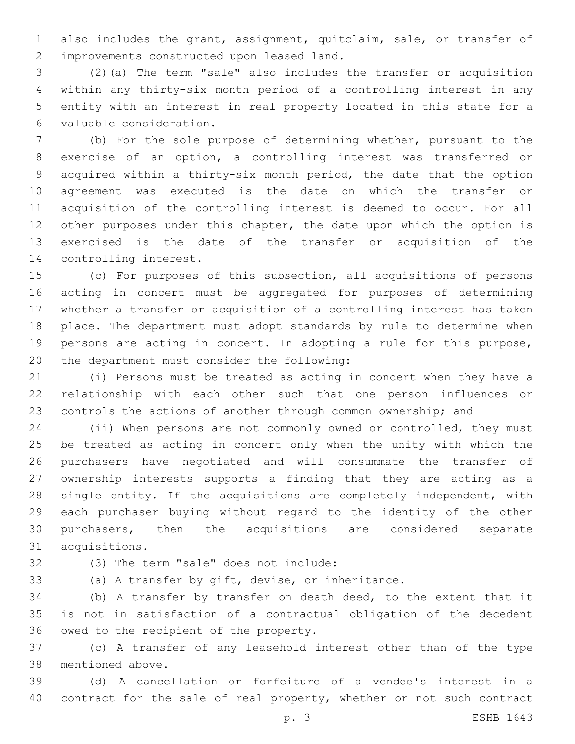also includes the grant, assignment, quitclaim, sale, or transfer of 2 improvements constructed upon leased land.

 (2)(a) The term "sale" also includes the transfer or acquisition within any thirty-six month period of a controlling interest in any entity with an interest in real property located in this state for a valuable consideration.6

 (b) For the sole purpose of determining whether, pursuant to the exercise of an option, a controlling interest was transferred or acquired within a thirty-six month period, the date that the option agreement was executed is the date on which the transfer or acquisition of the controlling interest is deemed to occur. For all 12 other purposes under this chapter, the date upon which the option is exercised is the date of the transfer or acquisition of the 14 controlling interest.

 (c) For purposes of this subsection, all acquisitions of persons acting in concert must be aggregated for purposes of determining whether a transfer or acquisition of a controlling interest has taken place. The department must adopt standards by rule to determine when persons are acting in concert. In adopting a rule for this purpose, 20 the department must consider the following:

 (i) Persons must be treated as acting in concert when they have a relationship with each other such that one person influences or controls the actions of another through common ownership; and

 (ii) When persons are not commonly owned or controlled, they must be treated as acting in concert only when the unity with which the purchasers have negotiated and will consummate the transfer of ownership interests supports a finding that they are acting as a single entity. If the acquisitions are completely independent, with each purchaser buying without regard to the identity of the other purchasers, then the acquisitions are considered separate 31 acquisitions.

(3) The term "sale" does not include:32

(a) A transfer by gift, devise, or inheritance.

 (b) A transfer by transfer on death deed, to the extent that it is not in satisfaction of a contractual obligation of the decedent 36 owed to the recipient of the property.

 (c) A transfer of any leasehold interest other than of the type 38 mentioned above.

 (d) A cancellation or forfeiture of a vendee's interest in a contract for the sale of real property, whether or not such contract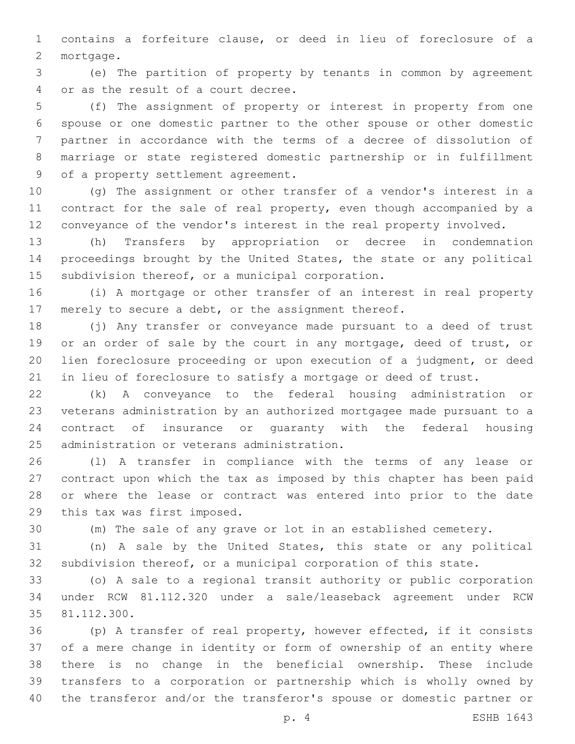contains a forfeiture clause, or deed in lieu of foreclosure of a 2 mortgage.

 (e) The partition of property by tenants in common by agreement 4 or as the result of a court decree.

 (f) The assignment of property or interest in property from one spouse or one domestic partner to the other spouse or other domestic partner in accordance with the terms of a decree of dissolution of marriage or state registered domestic partnership or in fulfillment 9 of a property settlement agreement.

 (g) The assignment or other transfer of a vendor's interest in a contract for the sale of real property, even though accompanied by a conveyance of the vendor's interest in the real property involved.

 (h) Transfers by appropriation or decree in condemnation proceedings brought by the United States, the state or any political 15 subdivision thereof, or a municipal corporation.

 (i) A mortgage or other transfer of an interest in real property merely to secure a debt, or the assignment thereof.

 (j) Any transfer or conveyance made pursuant to a deed of trust 19 or an order of sale by the court in any mortgage, deed of trust, or lien foreclosure proceeding or upon execution of a judgment, or deed in lieu of foreclosure to satisfy a mortgage or deed of trust.

 (k) A conveyance to the federal housing administration or veterans administration by an authorized mortgagee made pursuant to a contract of insurance or guaranty with the federal housing 25 administration or veterans administration.

 (l) A transfer in compliance with the terms of any lease or contract upon which the tax as imposed by this chapter has been paid or where the lease or contract was entered into prior to the date 29 this tax was first imposed.

(m) The sale of any grave or lot in an established cemetery.

 (n) A sale by the United States, this state or any political subdivision thereof, or a municipal corporation of this state.

 (o) A sale to a regional transit authority or public corporation under RCW 81.112.320 under a sale/leaseback agreement under RCW 35 81.112.300.

 (p) A transfer of real property, however effected, if it consists of a mere change in identity or form of ownership of an entity where there is no change in the beneficial ownership. These include transfers to a corporation or partnership which is wholly owned by the transferor and/or the transferor's spouse or domestic partner or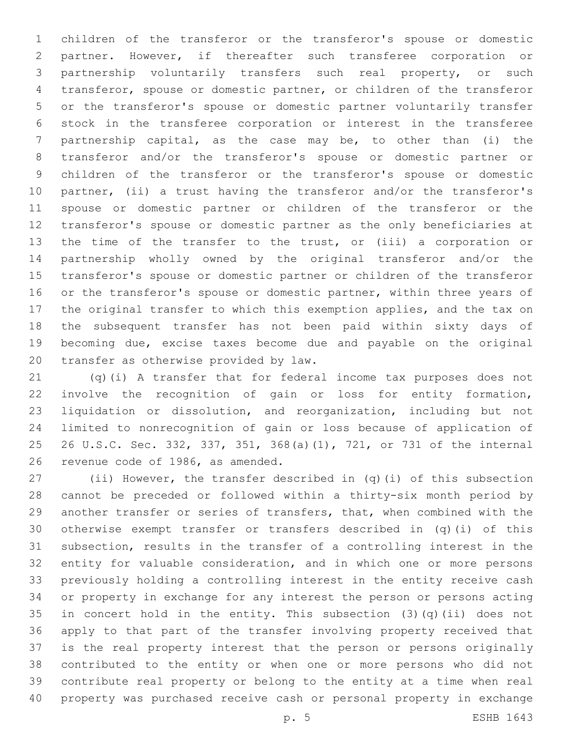children of the transferor or the transferor's spouse or domestic partner. However, if thereafter such transferee corporation or partnership voluntarily transfers such real property, or such transferor, spouse or domestic partner, or children of the transferor or the transferor's spouse or domestic partner voluntarily transfer stock in the transferee corporation or interest in the transferee partnership capital, as the case may be, to other than (i) the transferor and/or the transferor's spouse or domestic partner or children of the transferor or the transferor's spouse or domestic partner, (ii) a trust having the transferor and/or the transferor's spouse or domestic partner or children of the transferor or the transferor's spouse or domestic partner as the only beneficiaries at the time of the transfer to the trust, or (iii) a corporation or partnership wholly owned by the original transferor and/or the transferor's spouse or domestic partner or children of the transferor 16 or the transferor's spouse or domestic partner, within three years of the original transfer to which this exemption applies, and the tax on the subsequent transfer has not been paid within sixty days of becoming due, excise taxes become due and payable on the original 20 transfer as otherwise provided by law.

 (q)(i) A transfer that for federal income tax purposes does not involve the recognition of gain or loss for entity formation, liquidation or dissolution, and reorganization, including but not limited to nonrecognition of gain or loss because of application of 26 U.S.C. Sec. 332, 337, 351, 368(a)(1), 721, or 731 of the internal 26 revenue code of 1986, as amended.

 (ii) However, the transfer described in (q)(i) of this subsection cannot be preceded or followed within a thirty-six month period by another transfer or series of transfers, that, when combined with the otherwise exempt transfer or transfers described in (q)(i) of this subsection, results in the transfer of a controlling interest in the entity for valuable consideration, and in which one or more persons previously holding a controlling interest in the entity receive cash or property in exchange for any interest the person or persons acting in concert hold in the entity. This subsection (3)(q)(ii) does not apply to that part of the transfer involving property received that is the real property interest that the person or persons originally contributed to the entity or when one or more persons who did not contribute real property or belong to the entity at a time when real property was purchased receive cash or personal property in exchange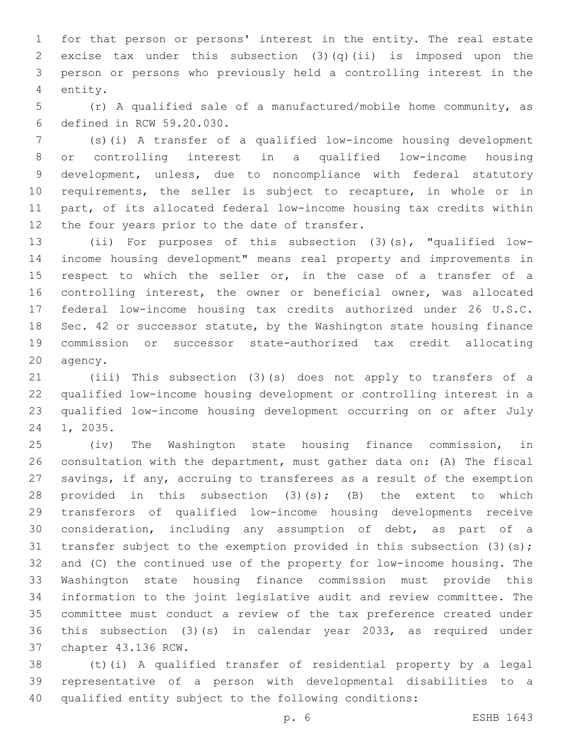for that person or persons' interest in the entity. The real estate excise tax under this subsection (3)(q)(ii) is imposed upon the person or persons who previously held a controlling interest in the 4 entity.

 (r) A qualified sale of a manufactured/mobile home community, as defined in RCW 59.20.030.6

 (s)(i) A transfer of a qualified low-income housing development or controlling interest in a qualified low-income housing development, unless, due to noncompliance with federal statutory requirements, the seller is subject to recapture, in whole or in part, of its allocated federal low-income housing tax credits within 12 the four years prior to the date of transfer.

 (ii) For purposes of this subsection (3)(s), "qualified low- income housing development" means real property and improvements in 15 respect to which the seller or, in the case of a transfer of a controlling interest, the owner or beneficial owner, was allocated federal low-income housing tax credits authorized under 26 U.S.C. Sec. 42 or successor statute, by the Washington state housing finance commission or successor state-authorized tax credit allocating 20 agency.

 (iii) This subsection (3)(s) does not apply to transfers of a qualified low-income housing development or controlling interest in a qualified low-income housing development occurring on or after July 24 1, 2035.

 (iv) The Washington state housing finance commission, in consultation with the department, must gather data on: (A) The fiscal savings, if any, accruing to transferees as a result of the exemption 28 provided in this subsection  $(3)(s)$ ;  $(B)$  the extent to which transferors of qualified low-income housing developments receive consideration, including any assumption of debt, as part of a 31 transfer subject to the exemption provided in this subsection (3)(s); and (C) the continued use of the property for low-income housing. The Washington state housing finance commission must provide this information to the joint legislative audit and review committee. The committee must conduct a review of the tax preference created under this subsection (3)(s) in calendar year 2033, as required under 37 chapter 43.136 RCW.

 (t)(i) A qualified transfer of residential property by a legal representative of a person with developmental disabilities to a qualified entity subject to the following conditions: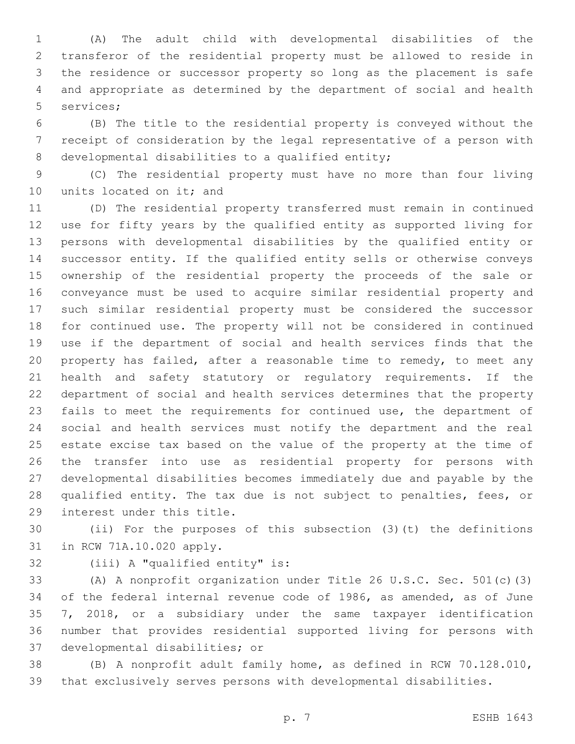(A) The adult child with developmental disabilities of the transferor of the residential property must be allowed to reside in the residence or successor property so long as the placement is safe and appropriate as determined by the department of social and health 5 services;

 (B) The title to the residential property is conveyed without the receipt of consideration by the legal representative of a person with 8 developmental disabilities to a qualified entity;

 (C) The residential property must have no more than four living 10 units located on it; and

 (D) The residential property transferred must remain in continued use for fifty years by the qualified entity as supported living for persons with developmental disabilities by the qualified entity or successor entity. If the qualified entity sells or otherwise conveys ownership of the residential property the proceeds of the sale or conveyance must be used to acquire similar residential property and such similar residential property must be considered the successor for continued use. The property will not be considered in continued use if the department of social and health services finds that the property has failed, after a reasonable time to remedy, to meet any health and safety statutory or regulatory requirements. If the department of social and health services determines that the property fails to meet the requirements for continued use, the department of social and health services must notify the department and the real estate excise tax based on the value of the property at the time of the transfer into use as residential property for persons with developmental disabilities becomes immediately due and payable by the qualified entity. The tax due is not subject to penalties, fees, or 29 interest under this title.

 (ii) For the purposes of this subsection (3)(t) the definitions 31 in RCW 71A.10.020 apply.

32 (iii) A "qualified entity" is:

 (A) A nonprofit organization under Title 26 U.S.C. Sec. 501(c)(3) of the federal internal revenue code of 1986, as amended, as of June 7, 2018, or a subsidiary under the same taxpayer identification number that provides residential supported living for persons with 37 developmental disabilities; or

 (B) A nonprofit adult family home, as defined in RCW 70.128.010, that exclusively serves persons with developmental disabilities.

p. 7 ESHB 1643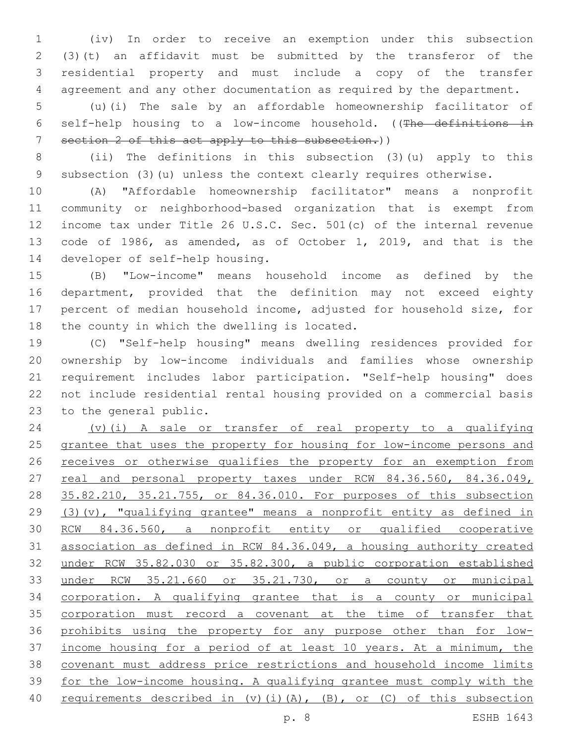(iv) In order to receive an exemption under this subsection (3)(t) an affidavit must be submitted by the transferor of the residential property and must include a copy of the transfer agreement and any other documentation as required by the department.

 (u)(i) The sale by an affordable homeownership facilitator of self-help housing to a low-income household. ((The definitions in section 2 of this act apply to this subsection.))

 (ii) The definitions in this subsection (3)(u) apply to this subsection (3)(u) unless the context clearly requires otherwise.

 (A) "Affordable homeownership facilitator" means a nonprofit community or neighborhood-based organization that is exempt from income tax under Title 26 U.S.C. Sec. 501(c) of the internal revenue code of 1986, as amended, as of October 1, 2019, and that is the 14 developer of self-help housing.

 (B) "Low-income" means household income as defined by the department, provided that the definition may not exceed eighty percent of median household income, adjusted for household size, for 18 the county in which the dwelling is located.

 (C) "Self-help housing" means dwelling residences provided for ownership by low-income individuals and families whose ownership requirement includes labor participation. "Self-help housing" does not include residential rental housing provided on a commercial basis 23 to the general public.

 (v)(i) A sale or transfer of real property to a qualifying grantee that uses the property for housing for low-income persons and 26 receives or otherwise qualifies the property for an exemption from 27 real and personal property taxes under RCW 84.36.560, 84.36.049, 35.82.210, 35.21.755, or 84.36.010. For purposes of this subsection (3)(v), "qualifying grantee" means a nonprofit entity as defined in RCW 84.36.560, a nonprofit entity or qualified cooperative association as defined in RCW 84.36.049, a housing authority created under RCW 35.82.030 or 35.82.300, a public corporation established under RCW 35.21.660 or 35.21.730, or a county or municipal corporation. A qualifying grantee that is a county or municipal 35 corporation must record a covenant at the time of transfer that prohibits using the property for any purpose other than for low- income housing for a period of at least 10 years. At a minimum, the covenant must address price restrictions and household income limits for the low-income housing. A qualifying grantee must comply with the requirements described in (v)(i)(A), (B), or (C) of this subsection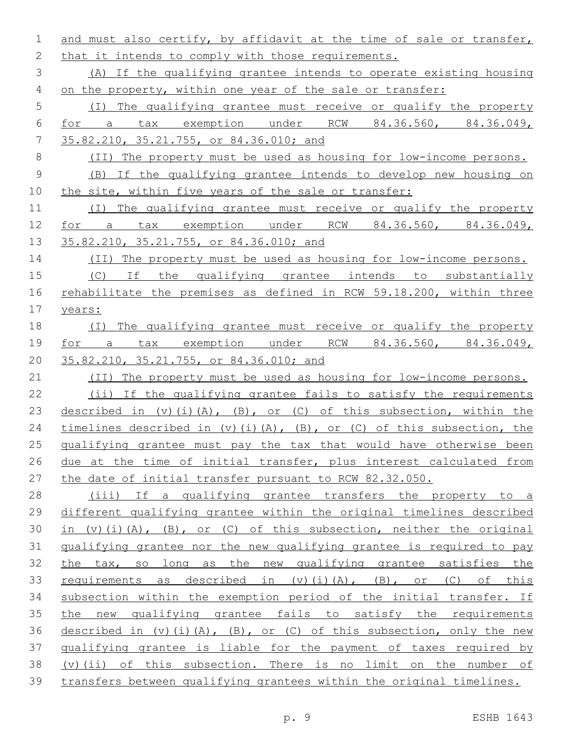and must also certify, by affidavit at the time of sale or transfer, 2 that it intends to comply with those requirements. (A) If the qualifying grantee intends to operate existing housing on the property, within one year of the sale or transfer: (I) The qualifying grantee must receive or qualify the property for a tax exemption under RCW 84.36.560, 84.36.049, 35.82.210, 35.21.755, or 84.36.010; and (II) The property must be used as housing for low-income persons. (B) If the qualifying grantee intends to develop new housing on the site, within five years of the sale or transfer: (I) The qualifying grantee must receive or qualify the property for a tax exemption under RCW 84.36.560, 84.36.049, 13 35.82.210, 35.21.755, or 84.36.010; and (II) The property must be used as housing for low-income persons. (C) If the qualifying grantee intends to substantially 16 rehabilitate the premises as defined in RCW 59.18.200, within three years: (I) The qualifying grantee must receive or qualify the property for a tax exemption under RCW 84.36.560, 84.36.049, 35.82.210, 35.21.755, or 84.36.010; and 21 (II) The property must be used as housing for low-income persons. (ii) If the qualifying grantee fails to satisfy the requirements 23 described in (v)(i)(A), (B), or (C) of this subsection, within the 24 timelines described in (v)(i)(A), (B), or (C) of this subsection, the qualifying grantee must pay the tax that would have otherwise been 26 due at the time of initial transfer, plus interest calculated from the date of initial transfer pursuant to RCW 82.32.050. (iii) If a qualifying grantee transfers the property to a different qualifying grantee within the original timelines described 30 in (v)(i)(A), (B), or (C) of this subsection, neither the original qualifying grantee nor the new qualifying grantee is required to pay the tax, so long as the new qualifying grantee satisfies the 33 requirements as described in (v)(i)(A), (B), or (C) of this subsection within the exemption period of the initial transfer. If the new qualifying grantee fails to satisfy the requirements 36 described in  $(v)$  (i)(A), (B), or (C) of this subsection, only the new qualifying grantee is liable for the payment of taxes required by (v)(ii) of this subsection. There is no limit on the number of transfers between qualifying grantees within the original timelines.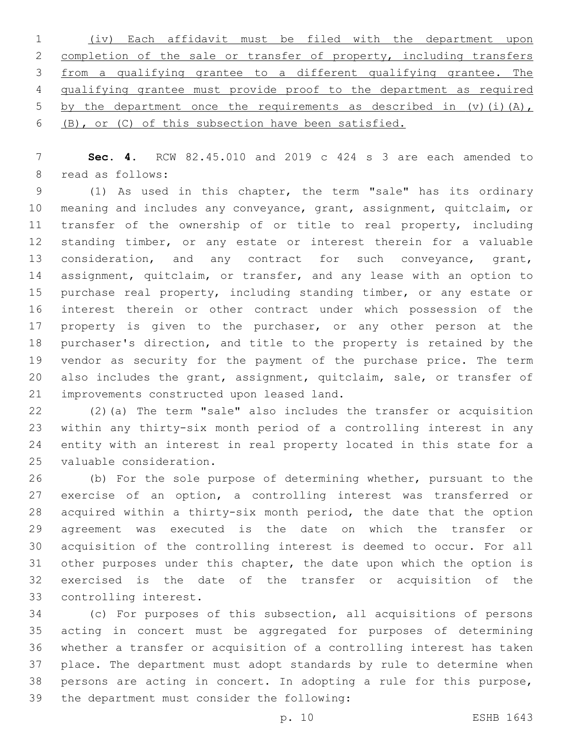| 1 (iv) Each affidavit must be filed with the department upon             |
|--------------------------------------------------------------------------|
| 2 completion of the sale or transfer of property, including transfers    |
| 3 from a qualifying grantee to a different qualifying grantee. The       |
| 4 qualifying grantee must provide proof to the department as required    |
| 5 by the department once the requirements as described in $(v)$ (i) (A), |
| 6 (B), or (C) of this subsection have been satisfied.                    |

 **Sec. 4.** RCW 82.45.010 and 2019 c 424 s 3 are each amended to 8 read as follows:

 (1) As used in this chapter, the term "sale" has its ordinary meaning and includes any conveyance, grant, assignment, quitclaim, or 11 transfer of the ownership of or title to real property, including standing timber, or any estate or interest therein for a valuable 13 consideration, and any contract for such conveyance, grant, 14 assignment, quitclaim, or transfer, and any lease with an option to purchase real property, including standing timber, or any estate or interest therein or other contract under which possession of the 17 property is given to the purchaser, or any other person at the purchaser's direction, and title to the property is retained by the vendor as security for the payment of the purchase price. The term also includes the grant, assignment, quitclaim, sale, or transfer of 21 improvements constructed upon leased land.

 (2)(a) The term "sale" also includes the transfer or acquisition within any thirty-six month period of a controlling interest in any entity with an interest in real property located in this state for a 25 valuable consideration.

 (b) For the sole purpose of determining whether, pursuant to the exercise of an option, a controlling interest was transferred or acquired within a thirty-six month period, the date that the option agreement was executed is the date on which the transfer or acquisition of the controlling interest is deemed to occur. For all other purposes under this chapter, the date upon which the option is exercised is the date of the transfer or acquisition of the 33 controlling interest.

 (c) For purposes of this subsection, all acquisitions of persons acting in concert must be aggregated for purposes of determining whether a transfer or acquisition of a controlling interest has taken place. The department must adopt standards by rule to determine when persons are acting in concert. In adopting a rule for this purpose, 39 the department must consider the following: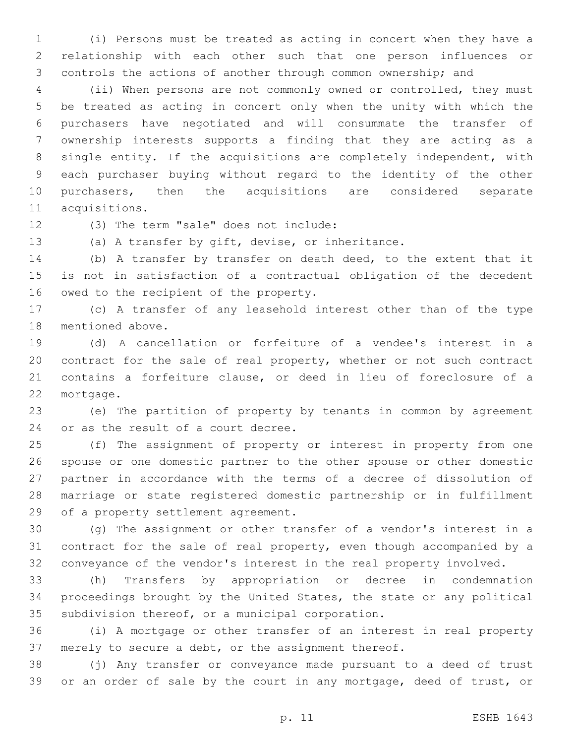(i) Persons must be treated as acting in concert when they have a relationship with each other such that one person influences or controls the actions of another through common ownership; and

 (ii) When persons are not commonly owned or controlled, they must be treated as acting in concert only when the unity with which the purchasers have negotiated and will consummate the transfer of ownership interests supports a finding that they are acting as a single entity. If the acquisitions are completely independent, with each purchaser buying without regard to the identity of the other purchasers, then the acquisitions are considered separate 11 acquisitions.

12 (3) The term "sale" does not include:

(a) A transfer by gift, devise, or inheritance.

 (b) A transfer by transfer on death deed, to the extent that it is not in satisfaction of a contractual obligation of the decedent 16 owed to the recipient of the property.

 (c) A transfer of any leasehold interest other than of the type 18 mentioned above.

 (d) A cancellation or forfeiture of a vendee's interest in a contract for the sale of real property, whether or not such contract contains a forfeiture clause, or deed in lieu of foreclosure of a 22 mortgage.

 (e) The partition of property by tenants in common by agreement 24 or as the result of a court decree.

 (f) The assignment of property or interest in property from one spouse or one domestic partner to the other spouse or other domestic partner in accordance with the terms of a decree of dissolution of marriage or state registered domestic partnership or in fulfillment 29 of a property settlement agreement.

 (g) The assignment or other transfer of a vendor's interest in a contract for the sale of real property, even though accompanied by a conveyance of the vendor's interest in the real property involved.

 (h) Transfers by appropriation or decree in condemnation proceedings brought by the United States, the state or any political 35 subdivision thereof, or a municipal corporation.

 (i) A mortgage or other transfer of an interest in real property merely to secure a debt, or the assignment thereof.

 (j) Any transfer or conveyance made pursuant to a deed of trust or an order of sale by the court in any mortgage, deed of trust, or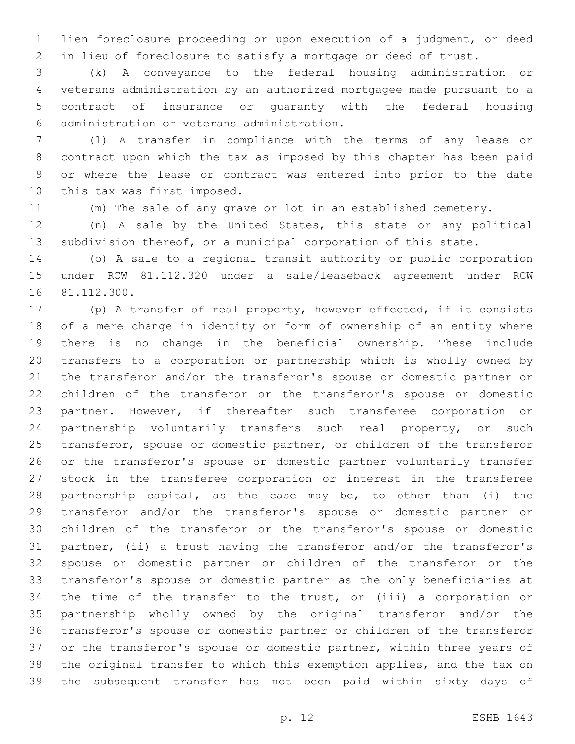lien foreclosure proceeding or upon execution of a judgment, or deed in lieu of foreclosure to satisfy a mortgage or deed of trust.

 (k) A conveyance to the federal housing administration or veterans administration by an authorized mortgagee made pursuant to a contract of insurance or guaranty with the federal housing administration or veterans administration.6

 (l) A transfer in compliance with the terms of any lease or contract upon which the tax as imposed by this chapter has been paid or where the lease or contract was entered into prior to the date 10 this tax was first imposed.

(m) The sale of any grave or lot in an established cemetery.

 (n) A sale by the United States, this state or any political subdivision thereof, or a municipal corporation of this state.

 (o) A sale to a regional transit authority or public corporation under RCW 81.112.320 under a sale/leaseback agreement under RCW 16 81.112.300.

 (p) A transfer of real property, however effected, if it consists of a mere change in identity or form of ownership of an entity where there is no change in the beneficial ownership. These include transfers to a corporation or partnership which is wholly owned by the transferor and/or the transferor's spouse or domestic partner or children of the transferor or the transferor's spouse or domestic partner. However, if thereafter such transferee corporation or 24 partnership voluntarily transfers such real property, or such transferor, spouse or domestic partner, or children of the transferor or the transferor's spouse or domestic partner voluntarily transfer stock in the transferee corporation or interest in the transferee partnership capital, as the case may be, to other than (i) the transferor and/or the transferor's spouse or domestic partner or children of the transferor or the transferor's spouse or domestic partner, (ii) a trust having the transferor and/or the transferor's spouse or domestic partner or children of the transferor or the transferor's spouse or domestic partner as the only beneficiaries at the time of the transfer to the trust, or (iii) a corporation or partnership wholly owned by the original transferor and/or the transferor's spouse or domestic partner or children of the transferor 37 or the transferor's spouse or domestic partner, within three years of the original transfer to which this exemption applies, and the tax on the subsequent transfer has not been paid within sixty days of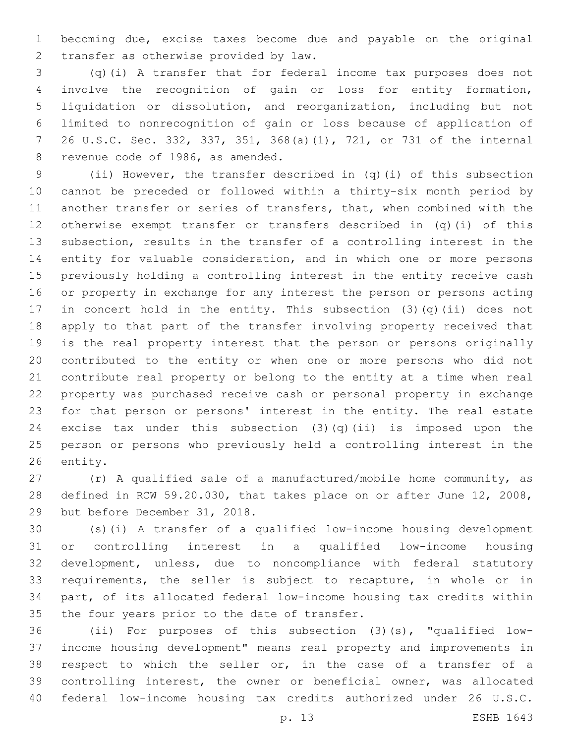becoming due, excise taxes become due and payable on the original 2 transfer as otherwise provided by law.

 (q)(i) A transfer that for federal income tax purposes does not involve the recognition of gain or loss for entity formation, liquidation or dissolution, and reorganization, including but not limited to nonrecognition of gain or loss because of application of 26 U.S.C. Sec. 332, 337, 351, 368(a)(1), 721, or 731 of the internal 8 revenue code of 1986, as amended.

 (ii) However, the transfer described in (q)(i) of this subsection cannot be preceded or followed within a thirty-six month period by another transfer or series of transfers, that, when combined with the otherwise exempt transfer or transfers described in (q)(i) of this subsection, results in the transfer of a controlling interest in the entity for valuable consideration, and in which one or more persons previously holding a controlling interest in the entity receive cash or property in exchange for any interest the person or persons acting in concert hold in the entity. This subsection (3)(q)(ii) does not apply to that part of the transfer involving property received that is the real property interest that the person or persons originally contributed to the entity or when one or more persons who did not contribute real property or belong to the entity at a time when real property was purchased receive cash or personal property in exchange for that person or persons' interest in the entity. The real estate 24 excise tax under this subsection  $(3)(q)(ii)$  is imposed upon the person or persons who previously held a controlling interest in the 26 entity.

 (r) A qualified sale of a manufactured/mobile home community, as defined in RCW 59.20.030, that takes place on or after June 12, 2008, 29 but before December 31, 2018.

 (s)(i) A transfer of a qualified low-income housing development or controlling interest in a qualified low-income housing development, unless, due to noncompliance with federal statutory requirements, the seller is subject to recapture, in whole or in part, of its allocated federal low-income housing tax credits within 35 the four years prior to the date of transfer.

 (ii) For purposes of this subsection (3)(s), "qualified low- income housing development" means real property and improvements in respect to which the seller or, in the case of a transfer of a controlling interest, the owner or beneficial owner, was allocated federal low-income housing tax credits authorized under 26 U.S.C.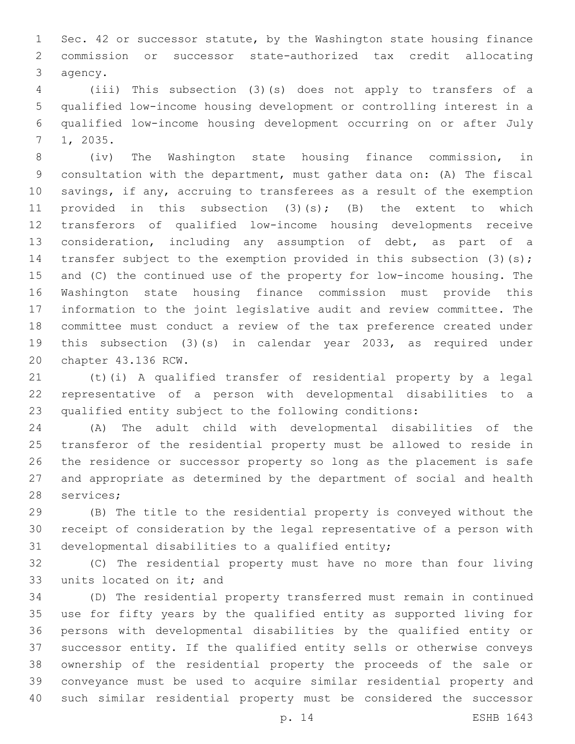Sec. 42 or successor statute, by the Washington state housing finance commission or successor state-authorized tax credit allocating 3 agency.

 (iii) This subsection (3)(s) does not apply to transfers of a qualified low-income housing development or controlling interest in a qualified low-income housing development occurring on or after July 1, 2035.7

 (iv) The Washington state housing finance commission, in consultation with the department, must gather data on: (A) The fiscal savings, if any, accruing to transferees as a result of the exemption 11 provided in this subsection (3)(s); (B) the extent to which transferors of qualified low-income housing developments receive consideration, including any assumption of debt, as part of a 14 transfer subject to the exemption provided in this subsection (3)(s); and (C) the continued use of the property for low-income housing. The Washington state housing finance commission must provide this information to the joint legislative audit and review committee. The committee must conduct a review of the tax preference created under this subsection (3)(s) in calendar year 2033, as required under 20 chapter 43.136 RCW.

 (t)(i) A qualified transfer of residential property by a legal representative of a person with developmental disabilities to a qualified entity subject to the following conditions:

 (A) The adult child with developmental disabilities of the transferor of the residential property must be allowed to reside in the residence or successor property so long as the placement is safe and appropriate as determined by the department of social and health 28 services;

 (B) The title to the residential property is conveyed without the receipt of consideration by the legal representative of a person with 31 developmental disabilities to a qualified entity;

 (C) The residential property must have no more than four living 33 units located on it; and

 (D) The residential property transferred must remain in continued use for fifty years by the qualified entity as supported living for persons with developmental disabilities by the qualified entity or successor entity. If the qualified entity sells or otherwise conveys ownership of the residential property the proceeds of the sale or conveyance must be used to acquire similar residential property and such similar residential property must be considered the successor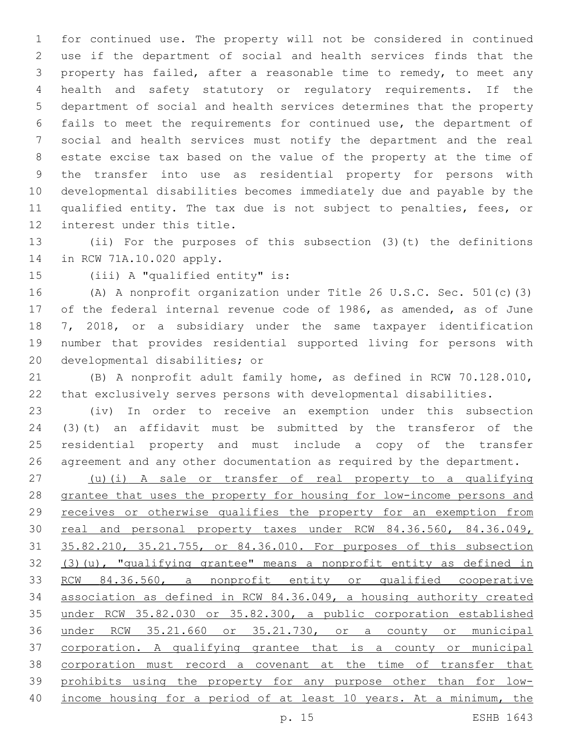for continued use. The property will not be considered in continued use if the department of social and health services finds that the property has failed, after a reasonable time to remedy, to meet any health and safety statutory or regulatory requirements. If the department of social and health services determines that the property fails to meet the requirements for continued use, the department of social and health services must notify the department and the real estate excise tax based on the value of the property at the time of the transfer into use as residential property for persons with developmental disabilities becomes immediately due and payable by the qualified entity. The tax due is not subject to penalties, fees, or 12 interest under this title.

 (ii) For the purposes of this subsection (3)(t) the definitions 14 in RCW 71A.10.020 apply.

15 (iii) A "qualified entity" is:

 (A) A nonprofit organization under Title 26 U.S.C. Sec. 501(c)(3) of the federal internal revenue code of 1986, as amended, as of June 7, 2018, or a subsidiary under the same taxpayer identification number that provides residential supported living for persons with 20 developmental disabilities; or

 (B) A nonprofit adult family home, as defined in RCW 70.128.010, that exclusively serves persons with developmental disabilities.

 (iv) In order to receive an exemption under this subsection (3)(t) an affidavit must be submitted by the transferor of the residential property and must include a copy of the transfer agreement and any other documentation as required by the department.

 (u)(i) A sale or transfer of real property to a qualifying grantee that uses the property for housing for low-income persons and receives or otherwise qualifies the property for an exemption from 30 real and personal property taxes under RCW 84.36.560, 84.36.049, 35.82.210, 35.21.755, or 84.36.010. For purposes of this subsection (3)(u), "qualifying grantee" means a nonprofit entity as defined in RCW 84.36.560, a nonprofit entity or qualified cooperative association as defined in RCW 84.36.049, a housing authority created under RCW 35.82.030 or 35.82.300, a public corporation established under RCW 35.21.660 or 35.21.730, or a county or municipal corporation. A qualifying grantee that is a county or municipal corporation must record a covenant at the time of transfer that prohibits using the property for any purpose other than for low-income housing for a period of at least 10 years. At a minimum, the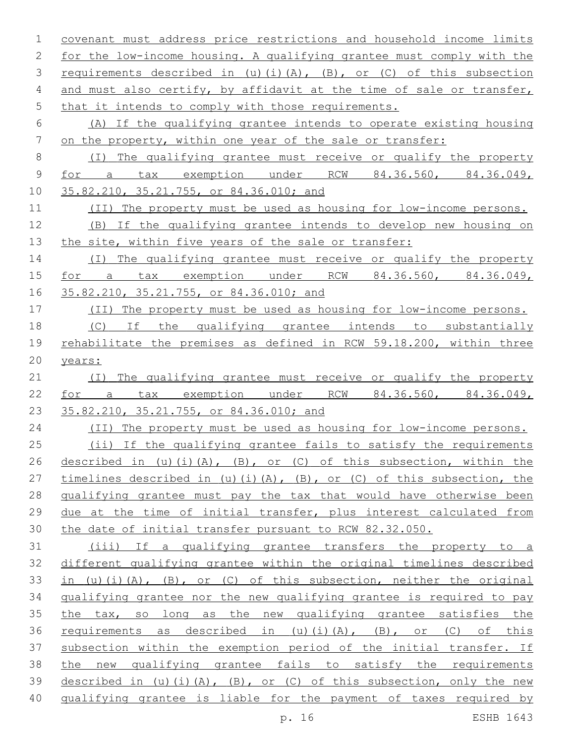| $\mathbf{1}$ | covenant must address price restrictions and household income limits    |
|--------------|-------------------------------------------------------------------------|
| 2            | for the low-income housing. A qualifying grantee must comply with the   |
| 3            | requirements described in (u)(i)(A), (B), or (C) of this subsection     |
| 4            | and must also certify, by affidavit at the time of sale or transfer,    |
| 5            | that it intends to comply with those requirements.                      |
| 6            | (A) If the qualifying grantee intends to operate existing housing       |
| 7            | on the property, within one year of the sale or transfer:               |
| 8            | (I) The qualifying grantee must receive or qualify the property         |
| $\mathsf 9$  | for a tax exemption under RCW 84.36.560, 84.36.049,                     |
| 10           | 35.82.210, 35.21.755, or 84.36.010; and                                 |
| 11           | (II) The property must be used as housing for low-income persons.       |
| 12           | (B) If the qualifying grantee intends to develop new housing on         |
| 13           | the site, within five years of the sale or transfer:                    |
| 14           | (I) The qualifying grantee must receive or qualify the property         |
| 15           | for a tax exemption under RCW 84.36.560, 84.36.049,                     |
| 16           | 35.82.210, 35.21.755, or 84.36.010; and                                 |
| 17           | (II) The property must be used as housing for low-income persons.       |
| 18           | (C) If the qualifying grantee intends to substantially                  |
| 19           | rehabilitate the premises as defined in RCW 59.18.200, within three     |
| 20           | years:                                                                  |
| 21           | (I) The qualifying grantee must receive or qualify the property         |
| 22           | for a tax exemption under RCW 84.36.560, 84.36.049,                     |
| 23           | 35.82.210, 35.21.755, or 84.36.010; and                                 |
| 24           | (II) The property must be used as housing for low-income persons.       |
| 25           | (ii) If the qualifying grantee fails to satisfy the requirements        |
| 26           | described in (u)(i)(A), (B), or (C) of this subsection, within the      |
| 27           | timelines described in (u)(i)(A), (B), or (C) of this subsection, the   |
| 28           | qualifying grantee must pay the tax that would have otherwise been      |
| 29           | due at the time of initial transfer, plus interest calculated from      |
| 30           | the date of initial transfer pursuant to RCW 82.32.050.                 |
| 31           | (iii) If a qualifying grantee transfers the property to a               |
| 32           | different qualifying grantee within the original timelines described    |
| 33           | in (u)(i)(A), $(B)$ , or (C) of this subsection, neither the original   |
| 34           | qualifying grantee nor the new qualifying grantee is required to pay    |
| 35           | the tax, so long as the new qualifying grantee satisfies the            |
| 36           | requirements as described in (u)(i)(A), (B), or (C) of this             |
| 37           | subsection within the exemption period of the initial transfer. If      |
| 38           | the new qualifying grantee fails to satisfy the requirements            |
| 39           | described in (u)(i)(A), $(B)$ , or (C) of this subsection, only the new |
| 40           | qualifying grantee is liable for the payment of taxes required by       |